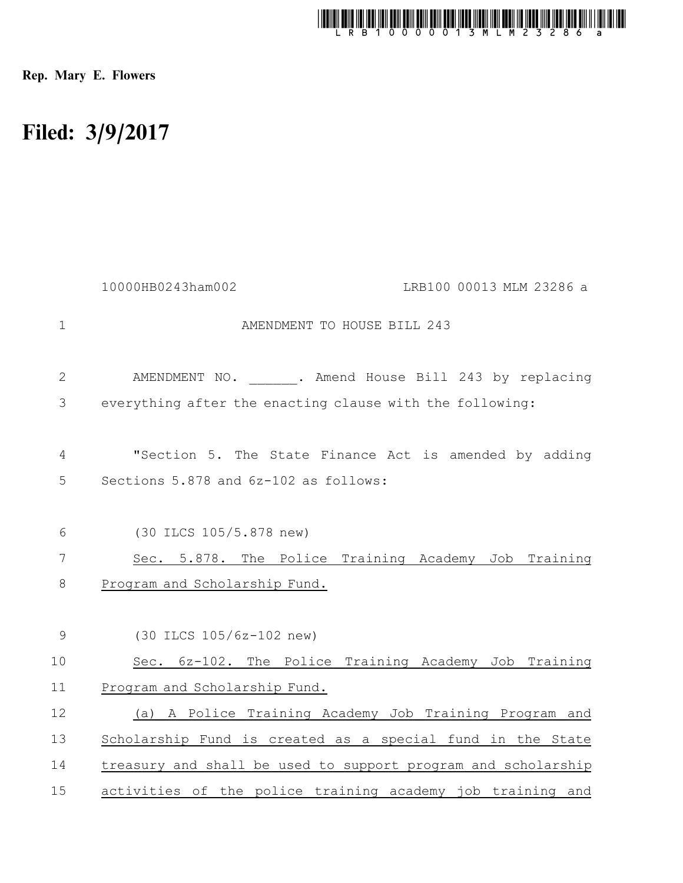

Rep. Mary E. Flowers

## Filed: 3/9/2017

|                | 10000HB0243ham002<br>LRB100 00013 MLM 23286 a                 |
|----------------|---------------------------------------------------------------|
| $\mathbf 1$    | AMENDMENT TO HOUSE BILL 243                                   |
| $\mathbf{2}$   | AMENDMENT NO. . Amend House Bill 243 by replacing             |
| 3              | everything after the enacting clause with the following:      |
| $\overline{4}$ | "Section 5. The State Finance Act is amended by adding        |
| 5              | Sections 5.878 and 6z-102 as follows:                         |
| 6              | (30 ILCS 105/5.878 new)                                       |
| 7              | Sec. 5.878. The Police Training Academy Job Training          |
| 8              | Program and Scholarship Fund.                                 |
| 9              | (30 ILCS 105/6z-102 new)                                      |
| 10             | Sec. 6z-102. The Police Training Academy Job Training         |
| 11             | Program and Scholarship Fund.                                 |
| 12             | (a) A Police Training Academy Job Training Program and        |
| 13             | Scholarship Fund is created as a special fund in the State    |
| 14             | treasury and shall be used to support program and scholarship |
| 15             | activities of the police training academy job training and    |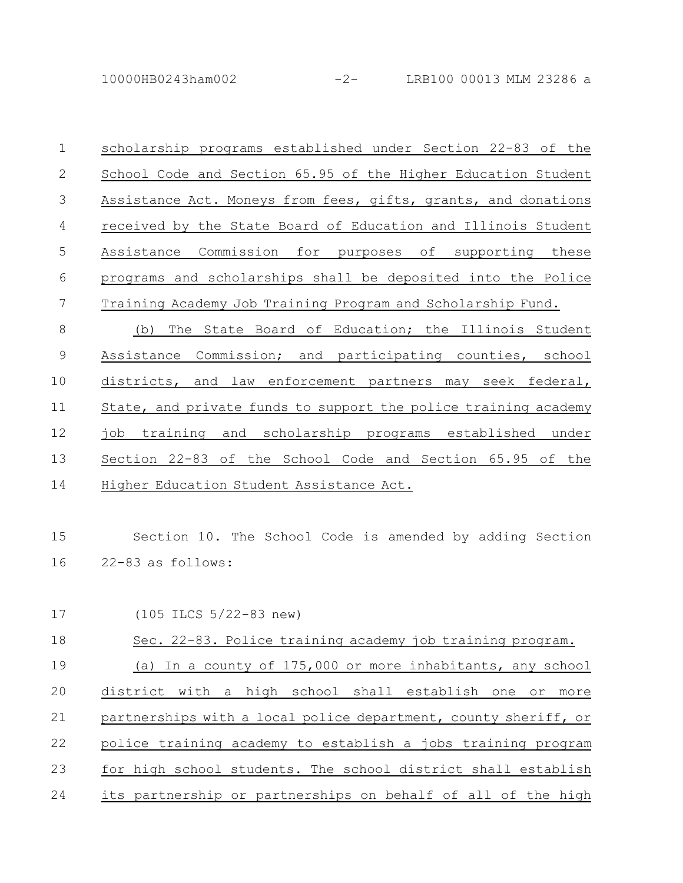10000HB0243ham002 -2- LRB100 00013 MLM 23286 a

scholarship programs established under Section 22-83 of the School Code and Section 65.95 of the Higher Education Student Assistance Act. Moneys from fees, gifts, grants, and donations received by the State Board of Education and Illinois Student Assistance Commission for purposes of supporting these programs and scholarships shall be deposited into the Police Training Academy Job Training Program and Scholarship Fund. (b) The State Board of Education; the Illinois Student Assistance Commission; and participating counties, school districts, and law enforcement partners may seek federal, State, and private funds to support the police training academy job training and scholarship programs established under Section 22-83 of the School Code and Section 65.95 of the Higher Education Student Assistance Act. Section 10. The School Code is amended by adding Section 1 2 3 4 5 6 7 8 9 10 11 12 13 14 15

22-83 as follows: 16

(105 ILCS 5/22-83 new) Sec. 22-83. Police training academy job training program. (a) In a county of 175,000 or more inhabitants, any school district with a high school shall establish one or more partnerships with a local police department, county sheriff, or police training academy to establish a jobs training program for high school students. The school district shall establish its partnership or partnerships on behalf of all of the high 17 18 19 20 21 22 23 24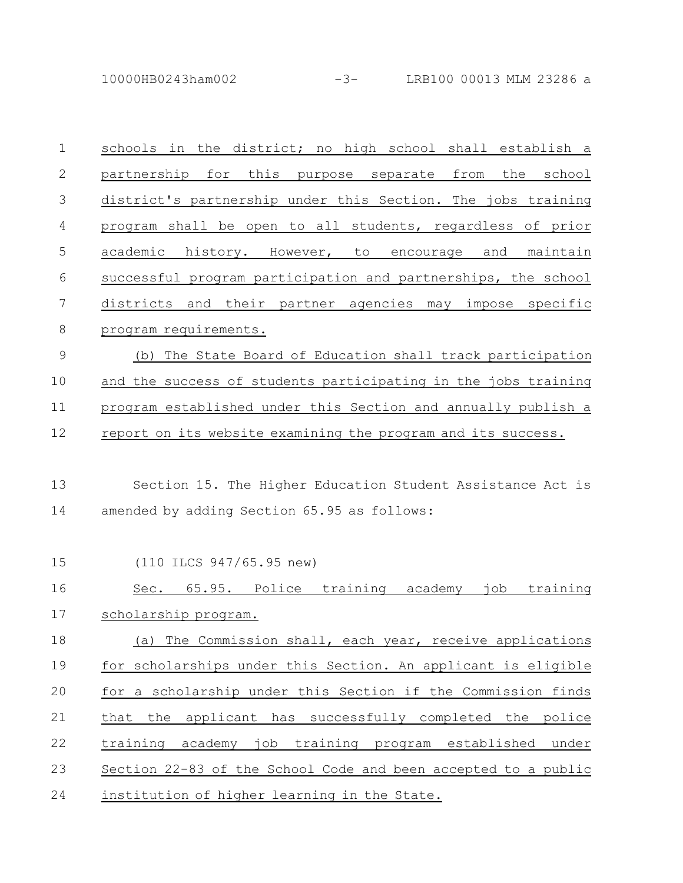10000HB0243ham002 -3- LRB100 00013 MLM 23286 a

| $\mathbf 1$   | schools in the district; no high school shall establish a      |
|---------------|----------------------------------------------------------------|
| $\mathbf{2}$  | partnership for this purpose separate<br>from the school       |
| $\mathcal{S}$ | district's partnership under this Section. The jobs training   |
| 4             | program shall be open to all students, regardless of prior     |
| 5             | academic history. However, to encourage and<br>maintain        |
| 6             | successful program participation and partnerships, the school  |
| 7             | districts and their partner agencies may impose specific       |
| 8             | program requirements.                                          |
| $\mathcal{G}$ | The State Board of Education shall track participation<br>(b)  |
| 10            | and the success of students participating in the jobs training |
| 11            | program established under this Section and annually publish a  |
| 12            | report on its website examining the program and its success.   |
|               |                                                                |
| 13            | Section 15. The Higher Education Student Assistance Act is     |
| 14            | amended by adding Section 65.95 as follows:                    |
|               |                                                                |
| 15            | (110 ILCS 947/65.95 new)                                       |
| 16            | Sec. 65.95. Police training academy<br>job<br>training         |
| 17            | scholarship program.                                           |
| 18            | (a) The Commission shall, each year, receive applications      |
| 19            | for scholarships under this Section. An applicant is eligible  |
| 20            | for a scholarship under this Section if the Commission finds   |
| 21            | the applicant has successfully completed the police<br>that    |
| 22            | training academy job training program established under        |
| 23            | Section 22-83 of the School Code and been accepted to a public |
| 24            | institution of higher learning in the State.                   |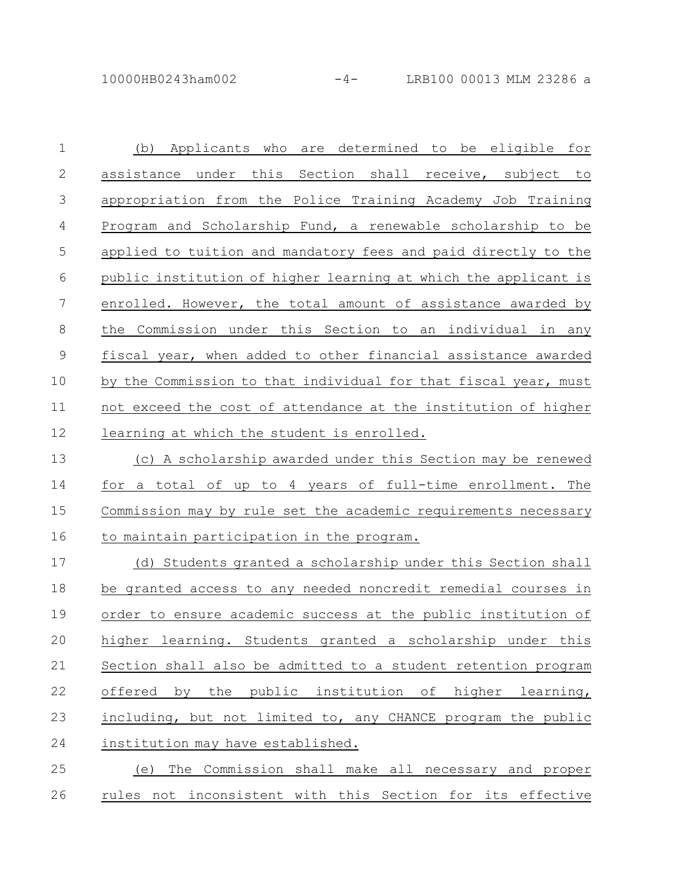(b) Applicants who are determined to be eligible for assistance under this Section shall receive, subject to appropriation from the Police Training Academy Job Training Program and Scholarship Fund, a renewable scholarship to be applied to tuition and mandatory fees and paid directly to the public institution of higher learning at which the applicant is enrolled. However, the total amount of assistance awarded by the Commission under this Section to an individual in any fiscal year, when added to other financial assistance awarded by the Commission to that individual for that fiscal year, must not exceed the cost of attendance at the institution of higher learning at which the student is enrolled. 1 2 3 4 5 6 7 8 9 10 11 12

(c) A scholarship awarded under this Section may be renewed for a total of up to 4 years of full-time enrollment. The Commission may by rule set the academic requirements necessary to maintain participation in the program. 13 14 15 16

(d) Students granted a scholarship under this Section shall be granted access to any needed noncredit remedial courses in order to ensure academic success at the public institution of higher learning. Students granted a scholarship under this Section shall also be admitted to a student retention program offered by the public institution of higher learning, including, but not limited to, any CHANCE program the public institution may have established. 17 18 19 20 21 22 23 24

(e) The Commission shall make all necessary and proper rules not inconsistent with this Section for its effective 25 26